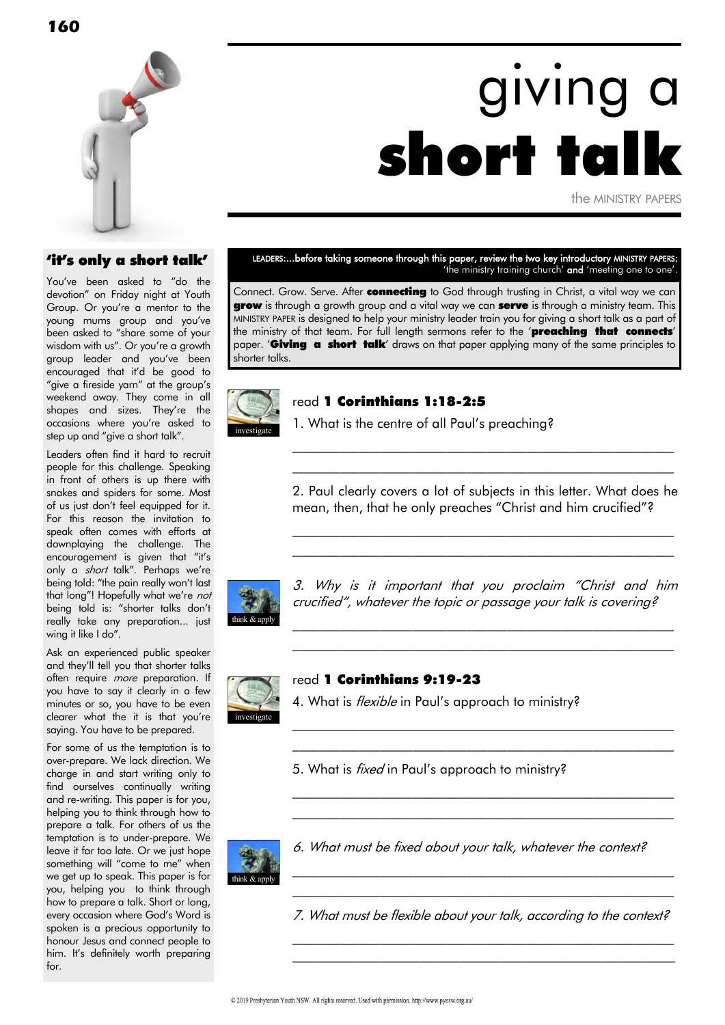

# giving a short to

the MINISTRY PAPERS

#### 'it's only a short talk'

You've been asked to "do the devotion" on Friday night at Youth Group. Or you're a mentor to the young mums group and you've been asked to "share some of your wisdom with us". Or you're a growth group leader and you've been encouraged that it'd be good to "give a fireside yarn" at the group's weekend away. They come in all shapes and sizes. They're the occasions where you're asked to step up and "give a short talk".

Leaders often find it hard to recruit people for this challenge. Speaking in front of others is up there with snakes and spiders for some. Most of us just don't feel equipped for it. For this reason the invitation to speak often comes with efforts at downplaying the challenge. The encouragement is given that "it's only a *short* talk". Perhaps we're being told: "the pain really won't last that long"! Hopefully what we're not being told is: "shorter talks don't really take any preparation... just wing it like I do".

Ask an experienced public speaker and they'll tell you that shorter talks often require *more* preparation. If you have to say it clearly in a few minutes or so, you have to be even clearer what the it is that you're saying. You have to be prepared.

For some of us the temptation is to over-prepare. We lack direction. We charge in and start writing only to find ourselves continually writing and re-writing. This paper is for you, helping you to think through how to prepare a talk. For others of us the temptation is to under-prepare. We leave it far too late. Or we just hope something will "come to me" when we get up to speak. This paper is for you, helping you to think through how to prepare a talk. Short or long, every occasion where God's Word is spoken is a precious opportunity to honour Jesus and connect people to him. It's definitely worth preparing for.

LEADERS:...before taking someone through this paper, review the two key introductory MINISTRY PAPERS: 'the ministry training church' and 'meeting one to one'.

Connect. Grow. Serve. After **connecting** to God through trusting in Christ, a vital way we can grow is through a growth group and a vital way we can serve is through a ministry team. This MINISTRY PAPER is designed to help your ministry leader train you for giving a short talk as a part of the ministry of that team. For full lenath sermons refer to the 'preaching that connects' paper. **Giving a short talk** draws on that paper applying many of the same principles to shorter talks.



#### read 1 Corinthians 1:18-2:5

1. What is the centre of all Paul's preaching?

2. Paul clearly covers a lot of subjects in this letter. What does he mean, then, that he only preaches "Christ and him crucified"?

\_\_\_\_\_\_\_\_\_\_\_\_\_\_\_\_\_\_\_\_\_\_\_\_\_\_\_\_\_\_\_\_\_\_\_\_\_\_\_\_\_\_\_\_\_\_\_\_\_\_\_\_\_\_\_\_\_ \_\_\_\_\_\_\_\_\_\_\_\_\_\_\_\_\_\_\_\_\_\_\_\_\_\_\_\_\_\_\_\_\_\_\_\_\_\_\_\_\_\_\_\_\_\_\_\_\_\_\_\_\_\_\_\_\_

\_\_\_\_\_\_\_\_\_\_\_\_\_\_\_\_\_\_\_\_\_\_\_\_\_\_\_\_\_\_\_\_\_\_\_\_\_\_\_\_\_\_\_\_\_\_\_\_\_\_\_\_\_\_\_\_\_ \_\_\_\_\_\_\_\_\_\_\_\_\_\_\_\_\_\_\_\_\_\_\_\_\_\_\_\_\_\_\_\_\_\_\_\_\_\_\_\_\_\_\_\_\_\_\_\_\_\_\_\_\_\_\_\_\_



3. Why is it important that you proclaim "Christ and him crucified", whatever the topic or passage your talk is covering?

\_\_\_\_\_\_\_\_\_\_\_\_\_\_\_\_\_\_\_\_\_\_\_\_\_\_\_\_\_\_\_\_\_\_\_\_\_\_\_\_\_\_\_\_\_\_\_\_\_\_\_\_\_\_\_\_\_ \_\_\_\_\_\_\_\_\_\_\_\_\_\_\_\_\_\_\_\_\_\_\_\_\_\_\_\_\_\_\_\_\_\_\_\_\_\_\_\_\_\_\_\_\_\_\_\_\_\_\_\_\_\_\_\_\_

 $\mathcal{L}_\text{max}$  and the contract of the contract of the contract of the contract of the contract of the contract of the contract of the contract of the contract of the contract of the contract of the contract of the contrac  $\mathcal{L}_\text{max}$  and the contract of the contract of the contract of the contract of the contract of the contract of

\_\_\_\_\_\_\_\_\_\_\_\_\_\_\_\_\_\_\_\_\_\_\_\_\_\_\_\_\_\_\_\_\_\_\_\_\_\_\_\_\_\_\_\_\_\_\_\_\_\_\_\_\_\_\_\_\_ \_\_\_\_\_\_\_\_\_\_\_\_\_\_\_\_\_\_\_\_\_\_\_\_\_\_\_\_\_\_\_\_\_\_\_\_\_\_\_\_\_\_\_\_\_\_\_\_\_\_\_\_\_\_\_\_\_



#### read 1 Corinthians 9:19-23

4. What is *flexible* in Paul's approach to ministry?

5. What is *fixed* in Paul's approach to ministry?



6. What must be fixed about your talk, whatever the context?

7. What must be flexible about your talk, according to the context? \_\_\_\_\_\_\_\_\_\_\_\_\_\_\_\_\_\_\_\_\_\_\_\_\_\_\_\_\_\_\_\_\_\_\_\_\_\_\_\_\_\_\_\_\_\_\_\_\_\_\_\_\_\_\_\_\_

\_\_\_\_\_\_\_\_\_\_\_\_\_\_\_\_\_\_\_\_\_\_\_\_\_\_\_\_\_\_\_\_\_\_\_\_\_\_\_\_\_\_\_\_\_\_\_\_\_\_\_\_\_\_\_\_\_

\_\_\_\_\_\_\_\_\_\_\_\_\_\_\_\_\_\_\_\_\_\_\_\_\_\_\_\_\_\_\_\_\_\_\_\_\_\_\_\_\_\_\_\_\_\_\_\_\_\_\_\_\_\_\_\_\_  $\mathcal{L}_\text{max}$  and the contract of the contract of the contract of the contract of the contract of the contract of the contract of the contract of the contract of the contract of the contract of the contract of the contrac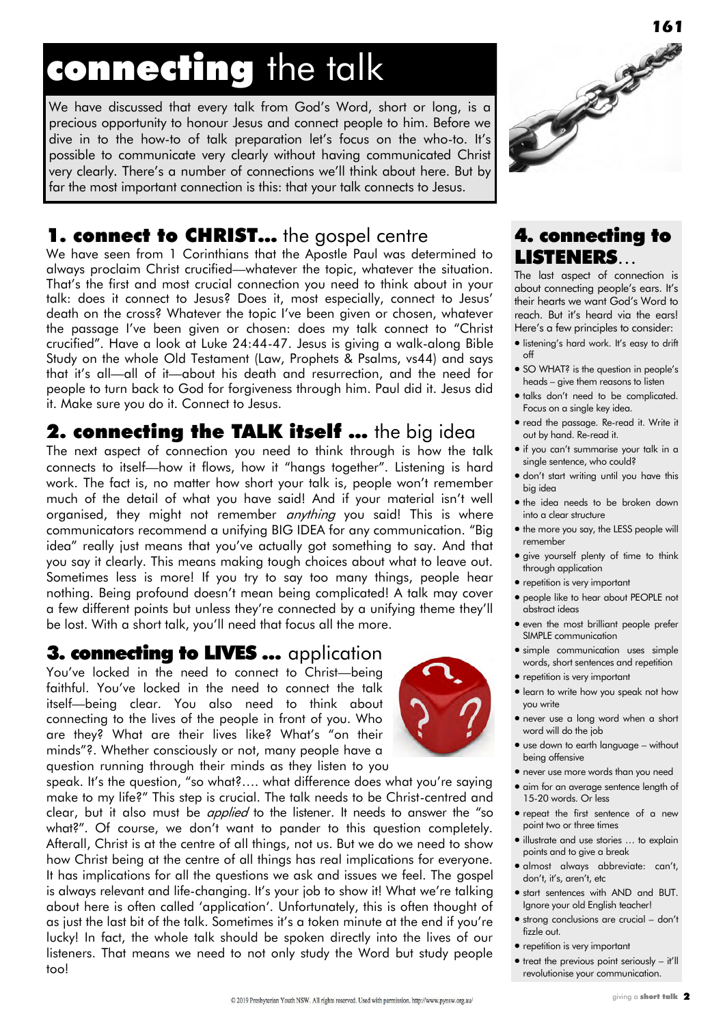# connecting the talk

We have discussed that every talk from God's Word, short or long, is a precious opportunity to honour Jesus and connect people to him. Before we dive in to the how-to of talk preparation let's focus on the who-to. It's possible to communicate very clearly without having communicated Christ very clearly. There's a number of connections we'll think about here. But by far the most important connection is this: that your talk connects to Jesus.

# 1. connect to CHRIST... the gospel centre

We have seen from 1 Corinthians that the Apostle Paul was determined to always proclaim Christ crucified—whatever the topic, whatever the situation. That's the first and most crucial connection you need to think about in your talk: does it connect to Jesus? Does it, most especially, connect to Jesus' death on the cross? Whatever the topic I've been given or chosen, whatever the passage I've been given or chosen: does my talk connect to "Christ crucified‖. Have a look at Luke 24:44-47. Jesus is giving a walk-along Bible Study on the whole Old Testament (Law, Prophets & Psalms, vs44) and says that it's all—all of it—about his death and resurrection, and the need for people to turn back to God for forgiveness through him. Paul did it. Jesus did it. Make sure you do it. Connect to Jesus.

## **2. connecting the TALK itself ...** the big idea

The next aspect of connection you need to think through is how the talk connects to itself—how it flows, how it "hangs together". Listening is hard work. The fact is, no matter how short your talk is, people won't remember much of the detail of what you have said! And if your material isn't well organised, they might not remember *anything* you said! This is where communicators recommend a unifying BIG IDEA for any communication. "Big idea" really just means that you've actually got something to say. And that you say it clearly. This means making tough choices about what to leave out. Sometimes less is more! If you try to say too many things, people hear nothing. Being profound doesn't mean being complicated! A talk may cover a few different points but unless they're connected by a unifying theme they'll be lost. With a short talk, you'll need that focus all the more.

### 3. connecting to LIVES ... application

You've locked in the need to connect to Christ—being faithful. You've locked in the need to connect the talk itself—being clear. You also need to think about connecting to the lives of the people in front of you. Who are they? What are their lives like? What's "on their minds"?. Whether consciously or not, many people have a question running through their minds as they listen to you

speak. It's the question, "so what?.... what difference does what you're saying make to my life?" This step is crucial. The talk needs to be Christ-centred and clear, but it also must be *applied* to the listener. It needs to answer the "so what?". Of course, we don't want to pander to this question completely. Afterall, Christ is at the centre of all things, not us. But we do we need to show how Christ being at the centre of all things has real implications for everyone. It has implications for all the questions we ask and issues we feel. The gospel is always relevant and life-changing. It's your job to show it! What we're talking about here is often called 'application'. Unfortunately, this is often thought of as just the last bit of the talk. Sometimes it's a token minute at the end if you're lucky! In fact, the whole talk should be spoken directly into the lives of our listeners. That means we need to not only study the Word but study people too!



### 4. connecting to LISTENERS…

The last aspect of connection is about connecting people's ears. It's their hearts we want God's Word to reach. But it's heard via the ears! Here's a few principles to consider:

- **.** listening's hard work. It's easy to drift off
- **SO WHAT?** is the question in people's heads – give them reasons to listen
- $\bullet$  talks don't need to be complicated. Focus on a single key idea.
- read the passage. Re-read it. Write it out by hand. Re-read it.
- if you can't summarise your talk in a single sentence, who could?
- don't start writing until you have this big idea
- $\bullet$  the idea needs to be broken down into a clear structure
- the more you say, the LESS people will remember
- give yourself plenty of time to think through application
- repetition is very important
- people like to hear about PEOPLE not abstract ideas
- even the most brilliant people prefer SIMPLE communication
- simple communication uses simple words, short sentences and repetition
- repetition is very important
- learn to write how you speak not how you write
- never use a long word when a short word will do the job
- use down to earth language without being offensive
- never use more words than you need
- aim for an average sentence length of 15-20 words. Or less
- repeat the first sentence of a new point two or three times
- illustrate and use stories … to explain points and to give a break
- almost always abbreviate: can't, don't, it's, aren't, etc
- start sentences with AND and BUT. Ignore your old English teacher!
- strong conclusions are crucial don't fizzle out.
- repetition is very important
- $\bullet$  treat the previous point seriously it'll revolutionise your communication.

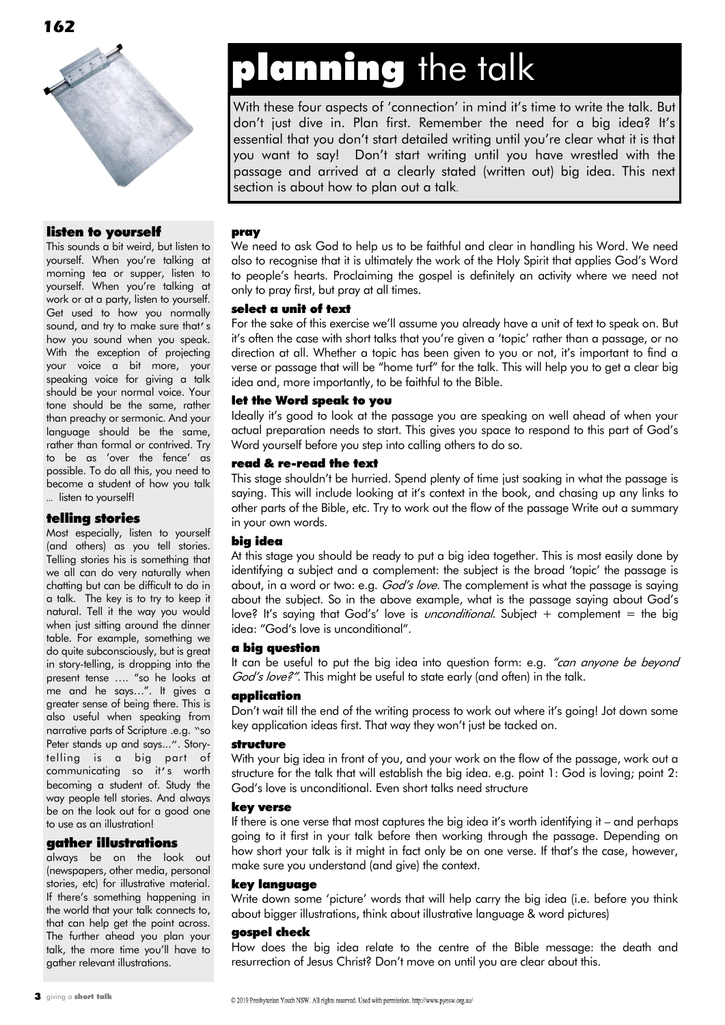

#### listen to yourself

This sounds a bit weird, but listen to yourself. When you're talking at morning tea or supper, listen to yourself. When you're talking at work or at a party, listen to yourself. Get used to how you normally sound, and try to make sure that's how you sound when you speak. With the exception of projecting your voice a bit more, your speaking voice for giving a talk should be your normal voice. Your tone should be the same, rather than preachy or sermonic. And your language should be the same, rather than formal or contrived. Try to be as 'over the fence' as possible. To do all this, you need to become a student of how you talk … listen to yourself!

#### telling stories

Most especially, listen to yourself (and others) as you tell stories. Telling stories his is something that we all can do very naturally when chatting but can be difficult to do in a talk. The key is to try to keep it natural. Tell it the way you would when just sitting around the dinner table. For example, something we do quite subconsciously, but is great in story-telling, is dropping into the present tense .... "so he looks at me and he says...". It gives a greater sense of being there. This is also useful when speaking from narrative parts of Scripture .e.g. "so Peter stands up and says...". Storytelling is a big part of communicating so it's worth becoming a student of. Study the way people tell stories. And always be on the look out for a good one to use as an illustration!

#### gather illustrations

always be on the look out (newspapers, other media, personal stories, etc) for illustrative material. If there's something happening in the world that your talk connects to, that can help get the point across. The further ahead you plan your talk, the more time you'll have to gather relevant illustrations.

# planning the talk

With these four aspects of 'connection' in mind it's time to write the talk. But don't just dive in. Plan first. Remember the need for a big idea? It's essential that you don't start detailed writing until you're clear what it is that you want to say! Don't start writing until you have wrestled with the passage and arrived at a clearly stated (written out) big idea. This next section is about how to plan out a talk.

#### pray

We need to ask God to help us to be faithful and clear in handling his Word. We need also to recognise that it is ultimately the work of the Holy Spirit that applies God's Word to people's hearts. Proclaiming the gospel is definitely an activity where we need not only to pray first, but pray at all times.

#### select a unit of text

For the sake of this exercise we'll assume you already have a unit of text to speak on. But it's often the case with short talks that you're given a 'topic' rather than a passage, or no direction at all. Whether a topic has been given to you or not, it's important to find a verse or passage that will be "home turf" for the talk. This will help you to get a clear big idea and, more importantly, to be faithful to the Bible.

#### let the Word speak to you

Ideally it's good to look at the passage you are speaking on well ahead of when your actual preparation needs to start. This gives you space to respond to this part of God's Word yourself before you step into calling others to do so.

#### read & re-read the text

This stage shouldn't be hurried. Spend plenty of time just soaking in what the passage is saying. This will include looking at it's context in the book, and chasing up any links to other parts of the Bible, etc. Try to work out the flow of the passage Write out a summary in your own words.

#### big idea

At this stage you should be ready to put a big idea together. This is most easily done by identifying a subject and a complement: the subject is the broad 'topic' the passage is about, in a word or two: e.g. *God's love.* The complement is what the passage is saying about the subject. So in the above example, what is the passage saying about God's love? It's saying that God's' love is *unconditional*. Subject  $+$  complement  $=$  the big idea: "God's love is unconditional".

#### a big question

It can be useful to put the big idea into question form: e.g. "can anyone be beyond God's love?". This might be useful to state early (and often) in the talk.

#### application

Don't wait till the end of the writing process to work out where it's going! Jot down some key application ideas first. That way they won't just be tacked on.

#### structure

With your big idea in front of you, and your work on the flow of the passage, work out a structure for the talk that will establish the big idea. e.g. point 1: God is loving; point 2: God's love is unconditional. Even short talks need structure

#### key verse

If there is one verse that most captures the big idea it's worth identifying it – and perhaps going to it first in your talk before then working through the passage. Depending on how short your talk is it might in fact only be on one verse. If that's the case, however, make sure you understand (and give) the context.

#### key language

Write down some 'picture' words that will help carry the big idea (i.e. before you think about bigger illustrations, think about illustrative language & word pictures)

#### gospel check

How does the big idea relate to the centre of the Bible message: the death and resurrection of Jesus Christ? Don't move on until you are clear about this.